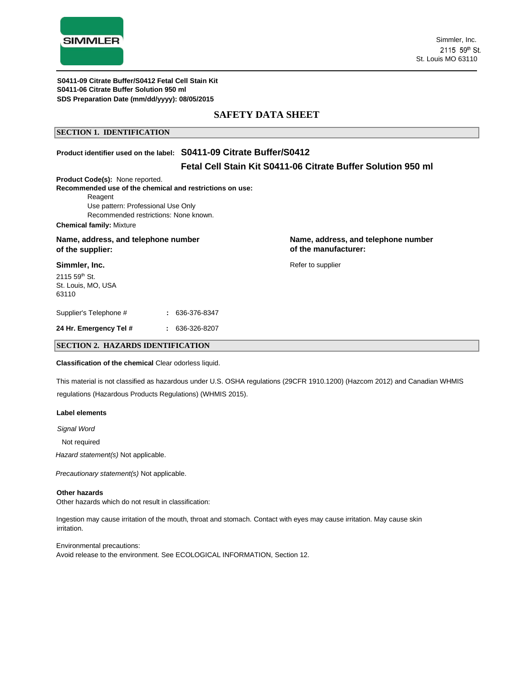

### **SAFETY DATA SHEET**

#### **SECTION 1. IDENTIFICATION**

### **Product identifier used on the label: S0411-09 Citrate Buffer/S0412**

### **Fetal Cell Stain Kit S0411-06 Citrate Buffer Solution 950 ml**

**Product Code(s):** None reported.

**Recommended use of the chemical and restrictions on use:**

Reagent

Use pattern: Professional Use Only Recommended restrictions: None known.

**Chemical family:** Mixture

# **of the supplier: of the manufacturer:**

**Simmler, Inc.**

2115 59th St. St. Louis, MO, USA 63110

Supplier's Telephone # **:** 636-376-8347

**24 Hr. Emergency Tel # :** 636-326-8207

Name, address, and telephone number **Name, address, and telephone number Name**, address, and telephone number

Refer to supplier

#### **SECTION 2. HAZARDS IDENTIFICATION**

**Classification of the chemical** Clear odorless liquid.

This material is not classified as hazardous under U.S. OSHA regulations (29CFR 1910.1200) (Hazcom 2012) and Canadian WHMIS regulations (Hazardous Products Regulations) (WHMIS 2015).

#### **Label elements**

*Signal Word*

Not required

*Hazard statement(s)* Not applicable.

*Precautionary statement(s)* Not applicable.

#### **Other hazards**

Other hazards which do not result in classification:

Ingestion may cause irritation of the mouth, throat and stomach. Contact with eyes may cause irritation. May cause skin irritation.

Environmental precautions: Avoid release to the environment. See ECOLOGICAL INFORMATION, Section 12.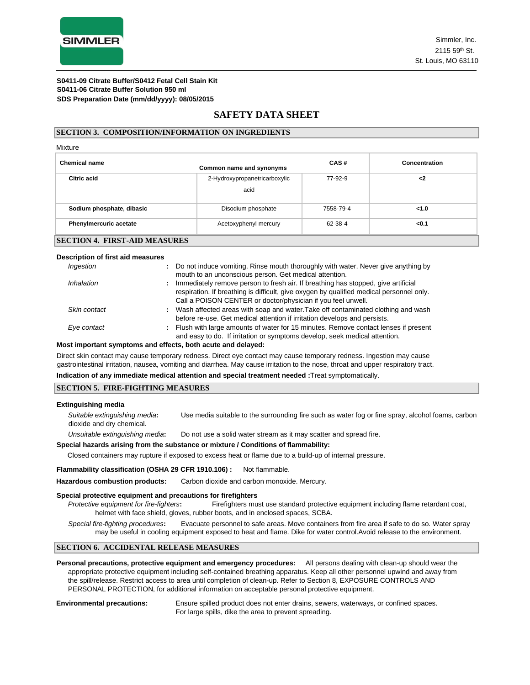

### **SAFETY DATA SHEET**

#### **SECTION 3. COMPOSITION/INFORMATION ON INGREDIENTS**

#### Mixture

| <b>Chemical name</b>                                        | Common name and synonyms      | <u>CAS#</u> | <b>Concentration</b> |  |  |  |
|-------------------------------------------------------------|-------------------------------|-------------|----------------------|--|--|--|
| Citric acid                                                 | 2-Hydroxypropanetricarboxylic | 77-92-9     | <2                   |  |  |  |
|                                                             | acid                          |             |                      |  |  |  |
| Sodium phosphate, dibasic                                   | Disodium phosphate            | 7558-79-4   | < 1.0                |  |  |  |
| <b>Phenylmercuric acetate</b>                               | Acetoxyphenyl mercury         | 62-38-4     | < 0.1                |  |  |  |
| $C_{\rm F}$ $C_{\rm T}$ tani 4<br><b>FIDET AID MEACHDEC</b> |                               |             |                      |  |  |  |

### **SECTION 4. FIRST-AID MEASURES**

#### **Description of first aid measures**

| Ingestion    | : Do not induce vomiting. Rinse mouth thoroughly with water. Never give anything by<br>mouth to an unconscious person. Get medical attention.                                                                                                   |
|--------------|-------------------------------------------------------------------------------------------------------------------------------------------------------------------------------------------------------------------------------------------------|
| Inhalation   | : Immediately remove person to fresh air. If breathing has stopped, give artificial<br>respiration. If breathing is difficult, give oxygen by qualified medical personnel only.<br>Call a POISON CENTER or doctor/physician if you feel unwell. |
| Skin contact | : Wash affected areas with soap and water. Take off contaminated clothing and wash<br>before re-use. Get medical attention if irritation develops and persists.                                                                                 |
| Eye contact  | : Flush with large amounts of water for 15 minutes. Remove contact lenses if present<br>and easy to do. If irritation or symptoms develop, seek medical attention.                                                                              |

#### **Most important symptoms and effects, both acute and delayed:**

Direct skin contact may cause temporary redness. Direct eye contact may cause temporary redness. Ingestion may cause gastrointestinal irritation, nausea, vomiting and diarrhea. May cause irritation to the nose, throat and upper respiratory tract.

#### **Indication of any immediate medical attention and special treatment needed :**Treat symptomatically.

#### **SECTION 5. FIRE-FIGHTING MEASURES**

#### **Extinguishing media**

| Suitable extinguishing media:   | Use media suitable to the surrounding fire such as water fog or fine spray, alcohol foams, carbon |
|---------------------------------|---------------------------------------------------------------------------------------------------|
| dioxide and dry chemical.       |                                                                                                   |
| Unsuitable extinguishing media: | Do not use a solid water stream as it may scatter and spread fire.                                |

#### **Special hazards arising from the substance or mixture / Conditions of flammability:**

Closed containers may rupture if exposed to excess heat or flame due to a build-up of internal pressure.

#### **Flammability classification (OSHA 29 CFR 1910.106) :** Not flammable.

Hazardous combustion products: Carbon dioxide and carbon monoxide. Mercury.

#### **Special protective equipment and precautions for firefighters**

*Protective equipment for fire-fighters***:** Firefighters must use standard protective equipment including flame retardant coat, helmet with face shield, gloves, rubber boots, and in enclosed spaces, SCBA.

*Special fire-fighting procedures***:** Evacuate personnel to safe areas. Move containers from fire area if safe to do so. Water spray may be useful in cooling equipment exposed to heat and flame. Dike for water control.Avoid release to the environment.

#### **SECTION 6. ACCIDENTAL RELEASE MEASURES**

**Personal precautions, protective equipment and emergency procedures:** All persons dealing with clean-up should wear the appropriate protective equipment including self-contained breathing apparatus. Keep all other personnel upwind and away from the spill/release. Restrict access to area until completion of clean-up. Refer to Section 8, EXPOSURE CONTROLS AND PERSONAL PROTECTION, for additional information on acceptable personal protective equipment.

**Environmental precautions:** Ensure spilled product does not enter drains, sewers, waterways, or confined spaces. For large spills, dike the area to prevent spreading.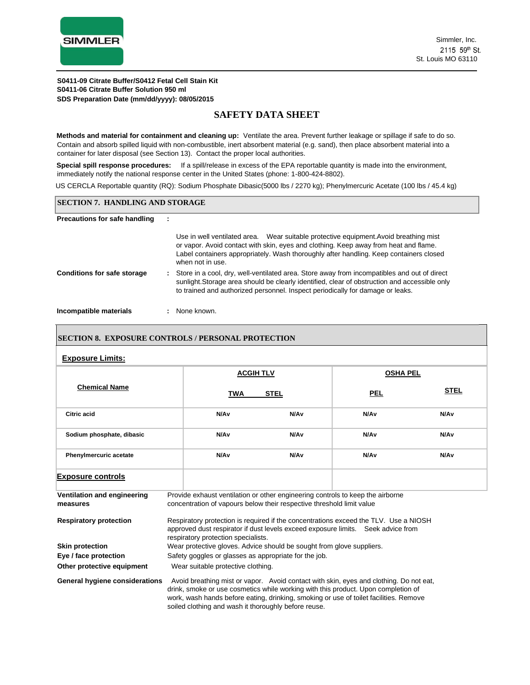

### **SAFETY DATA SHEET**

**Methods and material for containment and cleaning up:** Ventilate the area. Prevent further leakage or spillage if safe to do so. Contain and absorb spilled liquid with non-combustible, inert absorbent material (e.g. sand), then place absorbent material into a container for later disposal (see Section 13). Contact the proper local authorities.

**Special spill response procedures:** If a spill/release in excess of the EPA reportable quantity is made into the environment, immediately notify the national response center in the United States (phone: 1-800-424-8802).

US CERCLA Reportable quantity (RQ): Sodium Phosphate Dibasic(5000 lbs / 2270 kg); Phenylmercuric Acetate (100 lbs / 45.4 kg)

#### **SECTION 7. HANDLING AND STORAGE**

#### **Precautions for safe handling :**

|                                    |  | Use in well ventilated area. Wear suitable protective equipment. Avoid breathing mist<br>or vapor. Avoid contact with skin, eyes and clothing. Keep away from heat and flame.<br>Label containers appropriately. Wash thoroughly after handling. Keep containers closed<br>when not in use. |
|------------------------------------|--|---------------------------------------------------------------------------------------------------------------------------------------------------------------------------------------------------------------------------------------------------------------------------------------------|
| <b>Conditions for safe storage</b> |  | : Store in a cool, dry, well-ventilated area. Store away from incompatibles and out of direct<br>sunlight. Storage area should be clearly identified, clear of obstruction and accessible only<br>to trained and authorized personnel. Inspect periodically for damage or leaks.            |

**Incompatible materials :** None known.

#### **SECTION 8. EXPOSURE CONTROLS / PERSONAL PROTECTION**

#### **Exposure Limits:**

| <b>Chemical Name</b>                    |                                                                                                                                                                                                                                                                                                                              | <b>ACGIH TLV</b>         |      | <b>OSHA PEL</b> |                  |
|-----------------------------------------|------------------------------------------------------------------------------------------------------------------------------------------------------------------------------------------------------------------------------------------------------------------------------------------------------------------------------|--------------------------|------|-----------------|------------------|
|                                         |                                                                                                                                                                                                                                                                                                                              | <b>STEL</b><br>TWA       |      | <u>PEL</u>      | <b>STEL</b>      |
| Citric acid                             |                                                                                                                                                                                                                                                                                                                              | N/A <sub>v</sub>         | N/Av | N/Av            | N/A <sub>v</sub> |
| Sodium phosphate, dibasic               |                                                                                                                                                                                                                                                                                                                              | N/A <sub>v</sub>         | N/Av | N/Av            | N/A <sub>v</sub> |
| <b>Phenylmercuric acetate</b>           |                                                                                                                                                                                                                                                                                                                              | N/A <sub>v</sub><br>N/Av |      | N/Av            | N/A <sub>v</sub> |
| <b>Exposure controls</b>                |                                                                                                                                                                                                                                                                                                                              |                          |      |                 |                  |
| Ventilation and engineering<br>measures | Provide exhaust ventilation or other engineering controls to keep the airborne<br>concentration of vapours below their respective threshold limit value                                                                                                                                                                      |                          |      |                 |                  |
| <b>Respiratory protection</b>           | Respiratory protection is required if the concentrations exceed the TLV. Use a NIOSH<br>approved dust respirator if dust levels exceed exposure limits. Seek advice from<br>respiratory protection specialists.                                                                                                              |                          |      |                 |                  |
| <b>Skin protection</b>                  | Wear protective gloves. Advice should be sought from glove suppliers.                                                                                                                                                                                                                                                        |                          |      |                 |                  |
| Eye / face protection                   | Safety goggles or glasses as appropriate for the job.                                                                                                                                                                                                                                                                        |                          |      |                 |                  |
| Other protective equipment              | Wear suitable protective clothing.                                                                                                                                                                                                                                                                                           |                          |      |                 |                  |
| General hygiene considerations          | Avoid breathing mist or vapor. Avoid contact with skin, eyes and clothing. Do not eat,<br>drink, smoke or use cosmetics while working with this product. Upon completion of<br>work, wash hands before eating, drinking, smoking or use of toilet facilities. Remove<br>soiled clothing and wash it thoroughly before reuse. |                          |      |                 |                  |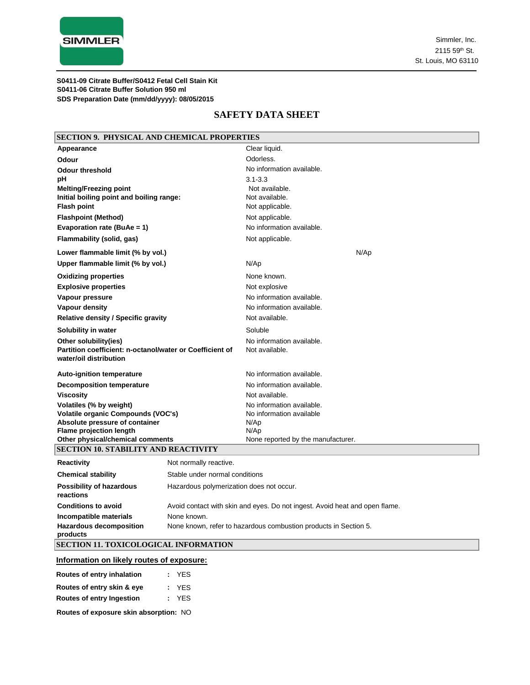

### **SAFETY DATA SHEET**

| <b>SECTION 9. PHYSICAL AND CHEMICAL PROPERTIES</b>                                                          |                                                                  |                                                                             |  |  |
|-------------------------------------------------------------------------------------------------------------|------------------------------------------------------------------|-----------------------------------------------------------------------------|--|--|
| Appearance                                                                                                  |                                                                  | Clear liquid.                                                               |  |  |
| Odour                                                                                                       |                                                                  | Odorless.                                                                   |  |  |
| <b>Odour threshold</b>                                                                                      |                                                                  | No information available.                                                   |  |  |
| pH                                                                                                          |                                                                  | $3.1 - 3.3$                                                                 |  |  |
| <b>Melting/Freezing point</b>                                                                               |                                                                  | Not available.                                                              |  |  |
| Initial boiling point and boiling range:                                                                    |                                                                  | Not available.                                                              |  |  |
| <b>Flash point</b>                                                                                          |                                                                  | Not applicable.                                                             |  |  |
| <b>Flashpoint (Method)</b>                                                                                  |                                                                  | Not applicable.                                                             |  |  |
| Evaporation rate (BuAe = 1)                                                                                 |                                                                  | No information available.                                                   |  |  |
| Flammability (solid, gas)                                                                                   |                                                                  | Not applicable.                                                             |  |  |
| Lower flammable limit (% by vol.)                                                                           |                                                                  | N/Ap                                                                        |  |  |
| Upper flammable limit (% by vol.)                                                                           |                                                                  | N/Ap                                                                        |  |  |
| <b>Oxidizing properties</b>                                                                                 |                                                                  | None known.                                                                 |  |  |
| <b>Explosive properties</b>                                                                                 |                                                                  | Not explosive                                                               |  |  |
| Vapour pressure                                                                                             |                                                                  | No information available.                                                   |  |  |
| Vapour density                                                                                              |                                                                  | No information available.                                                   |  |  |
| <b>Relative density / Specific gravity</b>                                                                  |                                                                  | Not available.                                                              |  |  |
| Solubility in water                                                                                         |                                                                  | Soluble                                                                     |  |  |
| Other solubility(ies)<br>Partition coefficient: n-octanol/water or Coefficient of<br>water/oil distribution |                                                                  | No information available.<br>Not available.                                 |  |  |
| <b>Auto-ignition temperature</b>                                                                            |                                                                  | No information available.                                                   |  |  |
| <b>Decomposition temperature</b>                                                                            |                                                                  | No information available.                                                   |  |  |
| <b>Viscosity</b>                                                                                            |                                                                  | Not available.                                                              |  |  |
| Volatiles (% by weight)                                                                                     |                                                                  | No information available.                                                   |  |  |
| Volatile organic Compounds (VOC's)                                                                          |                                                                  | No information available                                                    |  |  |
| Absolute pressure of container<br><b>Flame projection length</b>                                            |                                                                  | N/Ap<br>N/Ap                                                                |  |  |
| Other physical/chemical comments                                                                            |                                                                  | None reported by the manufacturer.                                          |  |  |
| <b>SECTION 10. STABILITY AND REACTIVITY</b>                                                                 |                                                                  |                                                                             |  |  |
| <b>Reactivity</b>                                                                                           | Not normally reactive.                                           |                                                                             |  |  |
| <b>Chemical stability</b>                                                                                   | Stable under normal conditions                                   |                                                                             |  |  |
| <b>Possibility of hazardous</b><br>reactions                                                                | Hazardous polymerization does not occur.                         |                                                                             |  |  |
| <b>Conditions to avoid</b>                                                                                  |                                                                  | Avoid contact with skin and eyes. Do not ingest. Avoid heat and open flame. |  |  |
| Incompatible materials                                                                                      | None known.                                                      |                                                                             |  |  |
| <b>Hazardous decomposition</b>                                                                              | None known, refer to hazardous combustion products in Section 5. |                                                                             |  |  |
| products                                                                                                    |                                                                  |                                                                             |  |  |
| <b>SECTION 11. TOXICOLOGICAL INFORMATION</b>                                                                |                                                                  |                                                                             |  |  |

### **Information on likely routes of exposure:**

| Routes of entry inhalation | : YES |
|----------------------------|-------|
| Routes of entry skin & eye | : YES |
| Routes of entry Ingestion  | : YES |

**Routes of exposure skin absorption:** NO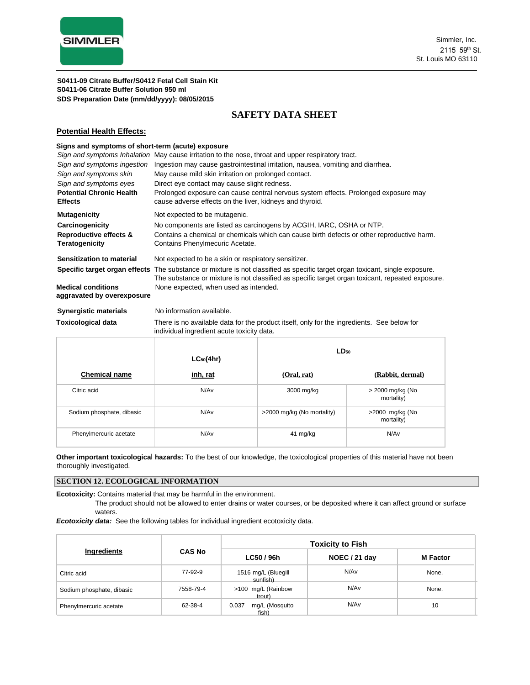

### **SAFETY DATA SHEET**

#### **Potential Health Effects:**

#### **Signs and symptoms of short-term (acute) exposure**

| Sign and symptoms Inhalation                            | May cause irritation to the nose, throat and upper respiratory tract.                                                                                                                                                            |
|---------------------------------------------------------|----------------------------------------------------------------------------------------------------------------------------------------------------------------------------------------------------------------------------------|
| Sign and symptoms ingestion                             | Ingestion may cause gastrointestinal irritation, nausea, vomiting and diarrhea.                                                                                                                                                  |
| Sign and symptoms skin                                  | May cause mild skin irritation on prolonged contact.                                                                                                                                                                             |
| Sign and symptoms eyes                                  | Direct eye contact may cause slight redness.                                                                                                                                                                                     |
| <b>Potential Chronic Health</b><br><b>Effects</b>       | Prolonged exposure can cause central nervous system effects. Prolonged exposure may<br>cause adverse effects on the liver, kidneys and thyroid.                                                                                  |
| <b>Mutagenicity</b>                                     | Not expected to be mutagenic.                                                                                                                                                                                                    |
| Carcinogenicity                                         | No components are listed as carcinogens by ACGIH, IARC, OSHA or NTP.                                                                                                                                                             |
| Reproductive effects &<br><b>Teratogenicity</b>         | Contains a chemical or chemicals which can cause birth defects or other reproductive harm.<br>Contains Phenylmecuric Acetate.                                                                                                    |
| Sensitization to material                               | Not expected to be a skin or respiratory sensitizer.                                                                                                                                                                             |
|                                                         | Specific target organ effects The substance or mixture is not classified as specific target organ toxicant, single exposure.<br>The substance or mixture is not classified as specific target organ toxicant, repeated exposure. |
| <b>Medical conditions</b><br>aggravated by overexposure | None expected, when used as intended.                                                                                                                                                                                            |
| <b>Synergistic materials</b>                            | No information available.                                                                                                                                                                                                        |
| <b>Toxicological data</b>                               | There is no available data for the product itself, only for the ingredients. See below for<br>individual ingredient acute toxicity data.                                                                                         |

|                           | $LC_{50}(4hr)$   | $LD_{50}$                  |                                |  |
|---------------------------|------------------|----------------------------|--------------------------------|--|
| <b>Chemical name</b>      | inh, rat         | (Oral, rat)                | (Rabbit, dermal)               |  |
| Citric acid               | N/Av             | 3000 mg/kg                 | > 2000 mg/kg (No<br>mortality) |  |
| Sodium phosphate, dibasic | N/Av             | >2000 mg/kg (No mortality) | >2000 mg/kg (No<br>mortality)  |  |
| Phenylmercuric acetate    | N/A <sub>v</sub> | 41 mg/kg                   | N/Av                           |  |

**Other important toxicologica**l **hazards:** To the best of our knowledge, the toxicological properties of this material have not been thoroughly investigated.

#### **SECTION 12. ECOLOGICAL INFORMATION**

**Ecotoxicity:** Contains material that may be harmful in the environment.

The product should not be allowed to enter drains or water courses, or be deposited where it can affect ground or surface waters.

*Ecotoxicity data:* See the following tables for individual ingredient ecotoxicity data.

| Ingredients               | <b>CAS No</b> | <b>Toxicity to Fish</b>          |               |                 |  |
|---------------------------|---------------|----------------------------------|---------------|-----------------|--|
|                           |               | LC50 / 96h                       | NOEC / 21 day | <b>M</b> Factor |  |
| Citric acid               | 77-92-9       | 1516 mg/L (Bluegill<br>sunfish)  | N/Av          | None.           |  |
| Sodium phosphate, dibasic | 7558-79-4     | >100 mg/L (Rainbow<br>trout)     | N/Av          | None.           |  |
| Phenylmercuric acetate    | 62-38-4       | mg/L (Mosquito<br>0.037<br>fish) | N/Av          | 10              |  |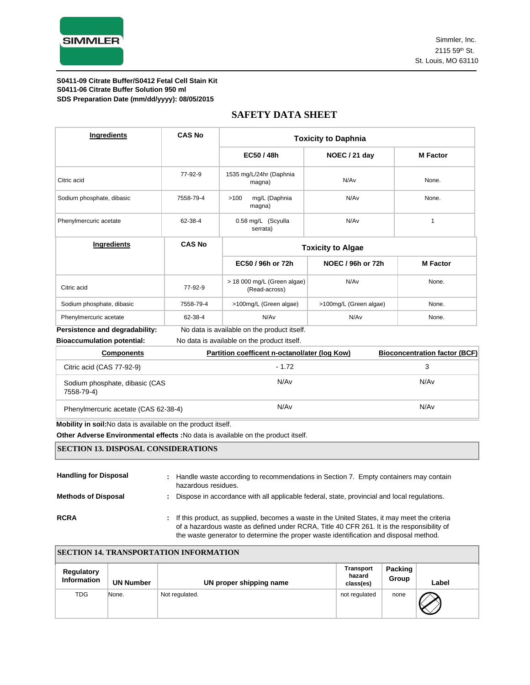

### **SAFETY DATA SHEET**

| Ingredients                    | <b>CAS No</b>                               | <b>Toxicity to Daphnia</b>                   |                          |                 |  |
|--------------------------------|---------------------------------------------|----------------------------------------------|--------------------------|-----------------|--|
|                                |                                             | EC50 / 48h                                   | NOEC / 21 day            | <b>M</b> Factor |  |
| Citric acid                    | 77-92-9                                     | 1535 mg/L/24hr (Daphnia<br>magna)            | N/Av                     | None.           |  |
| Sodium phosphate, dibasic      | 7558-79-4                                   | mg/L (Daphnia<br>>100<br>magna)              | N/A <sub>v</sub>         | None.           |  |
| Phenylmercuric acetate         | 62-38-4                                     | 0.58 mg/L (Scyulla<br>serrata)               | N/Av                     |                 |  |
| Ingredients                    | <b>CAS No</b>                               | <b>Toxicity to Algae</b>                     |                          |                 |  |
|                                |                                             | EC50 / 96h or 72h                            | <b>NOEC / 96h or 72h</b> | <b>M</b> Factor |  |
| Citric acid                    | 77-92-9                                     | > 18 000 mg/L (Green algae)<br>(Read-across) | N/Av                     | None.           |  |
| Sodium phosphate, dibasic      | 7558-79-4                                   | >100mg/L (Green algae)                       | >100mg/L (Green algae)   | None.           |  |
| Phenylmercuric acetate         | 62-38-4                                     | N/Av                                         | N/Av                     | None.           |  |
| Persistence and degradability: | No data is available on the product itself. |                                              |                          |                 |  |

**Bioaccumulation potential:** No data is available on the product itself.

| <b>Components</b>                            | Partition coefficent n-octanol/ater (log Kow) | <b>Bioconcentration factor (BCF)</b> |
|----------------------------------------------|-----------------------------------------------|--------------------------------------|
| Citric acid (CAS 77-92-9)                    | $-1.72$                                       |                                      |
| Sodium phosphate, dibasic (CAS<br>7558-79-4) | N/Av                                          | N/A <sub>v</sub>                     |
| Phenylmercuric acetate (CAS 62-38-4)         | N/Av                                          | N/Av                                 |

**Mobility in soil:**No data is available on the product itself.

**Other Adverse Environmental effects :**No data is available on the product itself.

#### **SECTION 13. DISPOSAL CONSIDERATIONS**

| <b>Handling for Disposal</b> | ÷. | Handle waste according to recommendations in Section 7. Empty containers may contain<br>hazardous residues.                                                                                                                                                                          |
|------------------------------|----|--------------------------------------------------------------------------------------------------------------------------------------------------------------------------------------------------------------------------------------------------------------------------------------|
| <b>Methods of Disposal</b>   | ÷  | Dispose in accordance with all applicable federal, state, provincial and local regulations.                                                                                                                                                                                          |
| <b>RCRA</b>                  |    | : If this product, as supplied, becomes a waste in the United States, it may meet the criteria<br>of a hazardous waste as defined under RCRA, Title 40 CFR 261. It is the responsibility of<br>the waste generator to determine the proper waste identification and disposal method. |

| <b>SECTION 14. TRANSPORTATION INFORMATION</b> |                  |                         |                                         |                  |       |  |  |  |
|-----------------------------------------------|------------------|-------------------------|-----------------------------------------|------------------|-------|--|--|--|
| <b>Regulatory</b><br><b>Information</b>       | <b>UN Number</b> | UN proper shipping name | <b>Transport</b><br>hazard<br>class(es) | Packing<br>Group | Label |  |  |  |
| TDG                                           | None.            | Not regulated.          | not regulated                           | none             |       |  |  |  |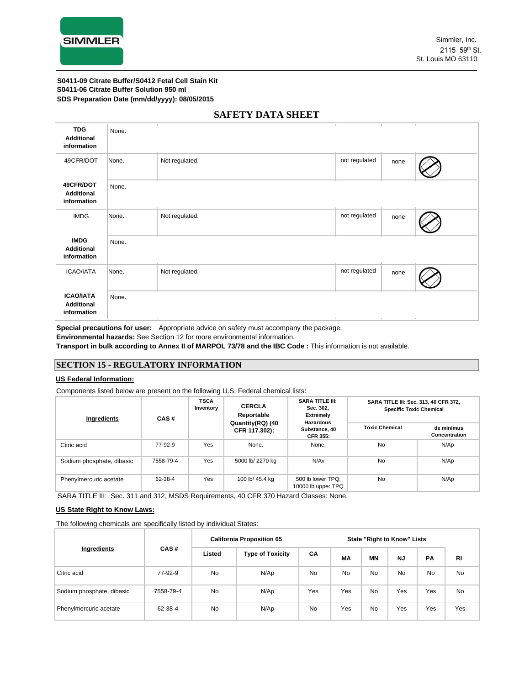

| ×<br>$\mathbb{R}$<br><b>TDG</b><br>None.<br><b>Additional</b><br>information<br>not regulated<br>Not regulated.<br>49CFR/DOT<br>None.<br>none<br>49CFR/DOT<br>None.<br><b>Additional</b><br>information<br>not regulated<br><b>IMDG</b><br>Not regulated.<br>None.<br>none<br><b>IMDG</b><br>None.<br><b>Additional</b><br>information<br>not regulated<br><b>ICAO/IATA</b><br>Not regulated.<br>None.<br>none |  |  |  |  |  |  |  |  |
|----------------------------------------------------------------------------------------------------------------------------------------------------------------------------------------------------------------------------------------------------------------------------------------------------------------------------------------------------------------------------------------------------------------|--|--|--|--|--|--|--|--|
|                                                                                                                                                                                                                                                                                                                                                                                                                |  |  |  |  |  |  |  |  |
|                                                                                                                                                                                                                                                                                                                                                                                                                |  |  |  |  |  |  |  |  |
|                                                                                                                                                                                                                                                                                                                                                                                                                |  |  |  |  |  |  |  |  |
|                                                                                                                                                                                                                                                                                                                                                                                                                |  |  |  |  |  |  |  |  |
|                                                                                                                                                                                                                                                                                                                                                                                                                |  |  |  |  |  |  |  |  |
|                                                                                                                                                                                                                                                                                                                                                                                                                |  |  |  |  |  |  |  |  |
| <b>ICAO/IATA</b><br>None.<br><b>Additional</b><br>information<br>$\mathbb{R}^n$<br>$\sim$<br>$\mathcal{L}_{\mathcal{A}}$<br>$\mathbb{R}^n$                                                                                                                                                                                                                                                                     |  |  |  |  |  |  |  |  |

### **SAFETY DATA SHEET**

**Special precautions for user:** Appropriate advice on safety must accompany the package.

**Environmental hazards:** See Section 12 for more environmental information.

**Transport in bulk according to Annex II of MARPOL 73/78 and the IBC Code :** This information is not available.

### **SECTION 15 - REGULATORY INFORMATION**

#### **US Federal Information:**

Components listed below are present on the following U.S. Federal chemical lists:

| Ingredients               | CAS#      | <b>TSCA</b><br>Inventory | <b>CERCLA</b><br>Reportable       | <b>SARA TITLE III:</b><br>Sec. 302,<br><b>Extremely</b><br><b>Hazardous</b> | SARA TITLE III: Sec. 313, 40 CFR 372,<br><b>Specific Toxic Chemical</b> |                             |  |
|---------------------------|-----------|--------------------------|-----------------------------------|-----------------------------------------------------------------------------|-------------------------------------------------------------------------|-----------------------------|--|
|                           |           |                          | Quantity(RQ) (40<br>CFR 117.302): | Substance, 40<br><b>CFR 355:</b>                                            | <b>Toxic Chemical</b>                                                   | de minimus<br>Concentration |  |
| Citric acid               | 77-92-9   | Yes                      | None.                             | None.                                                                       | No                                                                      | N/Ap                        |  |
| Sodium phosphate, dibasic | 7558-79-4 | Yes                      | 5000 lb/ 2270 kg                  | N/Av                                                                        | <b>No</b>                                                               | N/Ap                        |  |
| Phenylmercuric acetate    | 62-38-4   | Yes                      | 100 lb/ 45.4 kg                   | 500 lb lower TPQ;<br>10000 lb upper TPQ                                     | No                                                                      | N/Ap                        |  |

SARA TITLE III: Sec. 311 and 312, MSDS Requirements, 40 CFR 370 Hazard Classes: None.

#### **US State Right to Know Laws:**

The following chemicals are specifically listed by individual States:

|                           |           | <b>California Proposition 65</b> |                         |     |     | <b>State "Right to Know" Lists</b> |           |           |           |
|---------------------------|-----------|----------------------------------|-------------------------|-----|-----|------------------------------------|-----------|-----------|-----------|
| Ingredients               | CAS#      | Listed                           | <b>Type of Toxicity</b> | CA  | МA  | <b>MN</b>                          | <b>NJ</b> | PA        | <b>RI</b> |
| Citric acid               | 77-92-9   | <b>No</b>                        | N/Ap                    | No  | No  | No                                 | No        | <b>No</b> | <b>No</b> |
| Sodium phosphate, dibasic | 7558-79-4 | <b>No</b>                        | N/Ap                    | Yes | Yes | <b>No</b>                          | Yes       | Yes       | <b>No</b> |
| Phenylmercuric acetate    | 62-38-4   | <b>No</b>                        | N/Ap                    | No  | Yes | No                                 | Yes       | Yes       | Yes       |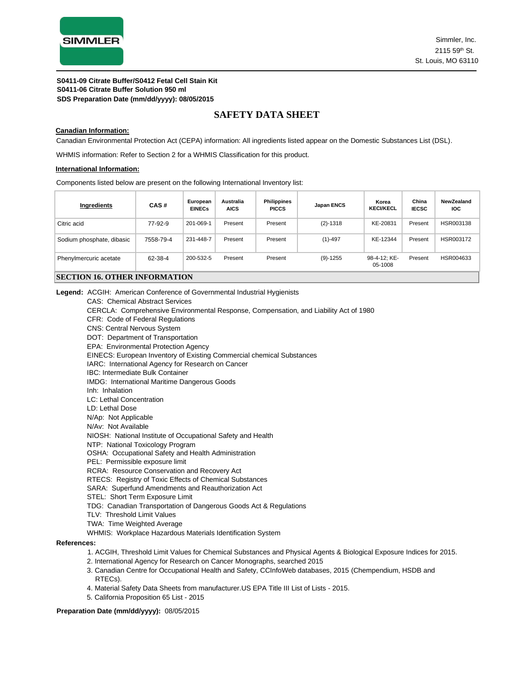

### **SAFETY DATA SHEET**

#### **Canadian Information:**

Canadian Environmental Protection Act (CEPA) information: All ingredients listed appear on the Domestic Substances List (DSL).

WHMIS information: Refer to Section 2 for a WHMIS Classification for this product.

#### **International Information:**

Components listed below are present on the following International Inventory list:

| Ingredients                          | CAS#      | European<br><b>EINECs</b> | <b>Australia</b><br><b>AICS</b> | Philippines<br><b>PICCS</b> | Japan ENCS   | Korea<br><b>KECI/KECL</b> | China<br><b>IECSC</b> | <b>NewZealand</b><br><b>IOC</b> |
|--------------------------------------|-----------|---------------------------|---------------------------------|-----------------------------|--------------|---------------------------|-----------------------|---------------------------------|
| Citric acid                          | 77-92-9   | 201-069-1                 | Present                         | Present                     | $(2) - 1318$ | KE-20831                  | Present               | HSR003138                       |
| Sodium phosphate, dibasic            | 7558-79-4 | 231-448-7                 | Present                         | Present                     | $(1) - 497$  | KE-12344                  | Present               | HSR003172                       |
| Phenylmercuric acetate               | 62-38-4   | 200-532-5                 | Present                         | Present                     | $(9)-1255$   | 98-4-12: KE-<br>05-1008   | Present               | HSR004633                       |
| <b>SECTION 16. OTHER INFORMATION</b> |           |                           |                                 |                             |              |                           |                       |                                 |

**Legend:** ACGIH: American Conference of Governmental Industrial Hygienists

CAS: Chemical Abstract Services

CERCLA: Comprehensive Environmental Response, Compensation, and Liability Act of 1980

CFR: Code of Federal Regulations

- CNS: Central Nervous System
- DOT: Department of Transportation
- EPA: Environmental Protection Agency

EINECS: European Inventory of Existing Commercial chemical Substances

- IARC: International Agency for Research on Cancer
- IBC: Intermediate Bulk Container

IMDG: International Maritime Dangerous Goods

- Inh: Inhalation
- LC: Lethal Concentration
- LD: Lethal Dose

N/Ap: Not Applicable

N/Av: Not Available

NIOSH: National Institute of Occupational Safety and Health

NTP: National Toxicology Program

OSHA: Occupational Safety and Health Administration

- PEL: Permissible exposure limit
- RCRA: Resource Conservation and Recovery Act
- RTECS: Registry of Toxic Effects of Chemical Substances
- SARA: Superfund Amendments and Reauthorization Act
- STEL: Short Term Exposure Limit
- TDG: Canadian Transportation of Dangerous Goods Act & Regulations
- TLV: Threshold Limit Values
- TWA: Time Weighted Average
- WHMIS: Workplace Hazardous Materials Identification System

#### **References:**

- 1. ACGIH, Threshold Limit Values for Chemical Substances and Physical Agents & Biological Exposure Indices for 2015.
- 2. International Agency for Research on Cancer Monographs, searched 2015
- 3. Canadian Centre for Occupational Health and Safety, CCInfoWeb databases, 2015 (Chempendium, HSDB and RTECs).
- 4. Material Safety Data Sheets from manufacturer.US EPA Title III List of Lists 2015.
- 5. California Proposition 65 List 2015

#### **Preparation Date (mm/dd/yyyy):** 08/05/2015